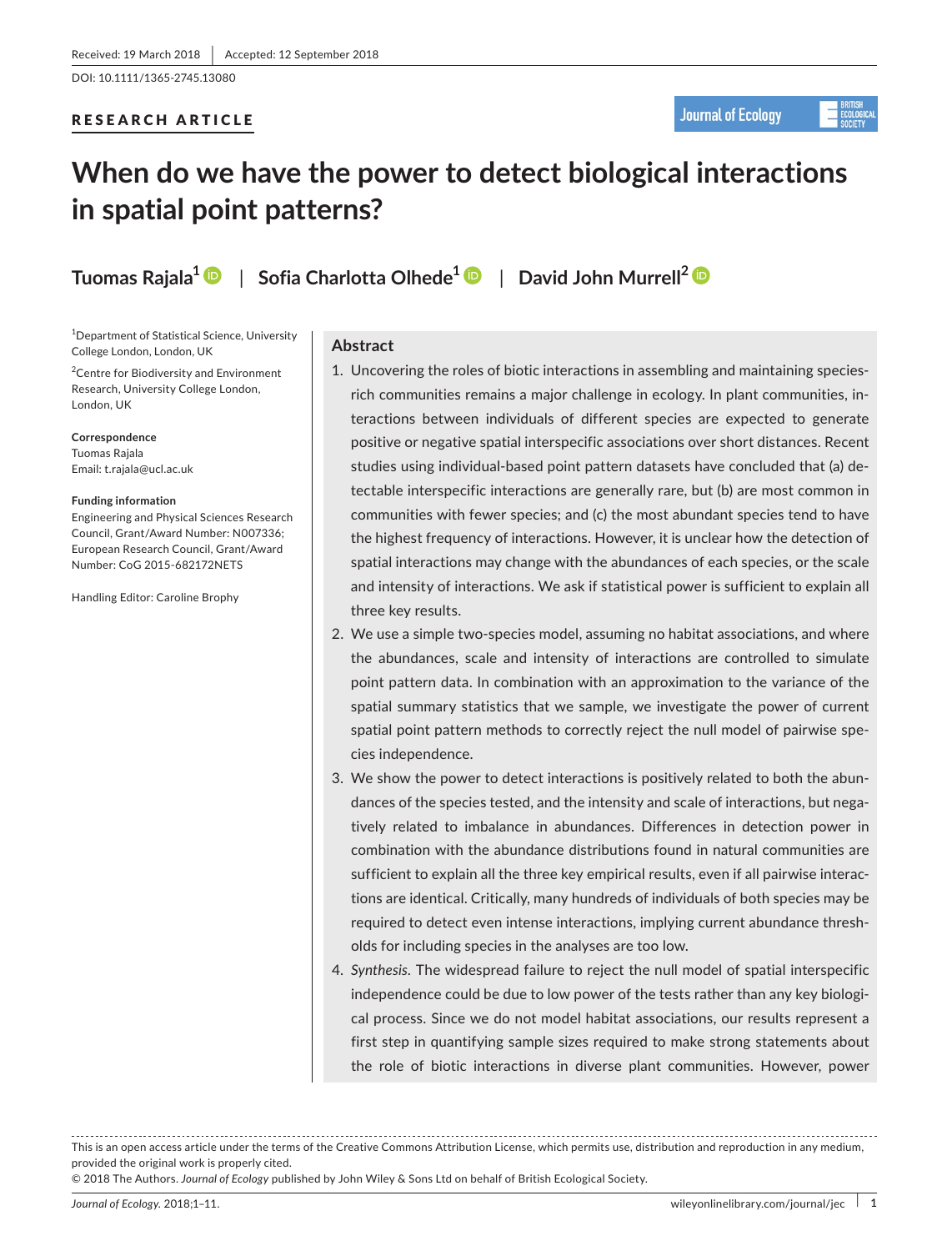DOI: 10.1111/1365-2745.13080

# RESEARCH ARTICLE

**Journal of Ecology** 

# **When do we have the power to detect biological interactions in spatial point patterns?**

**Tuomas Rajala[1](http://orcid.org/0000-0002-1343-8058)** | **Sofia Charlotta Olhede[1](http://orcid.org/0000-0003-0061-227X)** | **David John Murrell<sup>2</sup>**

1 Department of Statistical Science, University College London, London, UK

<sup>2</sup>Centre for Biodiversity and Environment Research, University College London, London, UK

**Correspondence** Tuomas Rajala Email: [t.rajala@ucl.ac.uk](mailto:t.rajala@ucl.ac.uk)

#### **Funding information**

Engineering and Physical Sciences Research Council, Grant/Award Number: N007336; European Research Council, Grant/Award Number: CoG 2015-682172NETS

Handling Editor: Caroline Brophy

## **Abstract**

- 1. Uncovering the roles of biotic interactions in assembling and maintaining speciesrich communities remains a major challenge in ecology. In plant communities, interactions between individuals of different species are expected to generate positive or negative spatial interspecific associations over short distances. Recent studies using individual‐based point pattern datasets have concluded that (a) detectable interspecific interactions are generally rare, but (b) are most common in communities with fewer species; and (c) the most abundant species tend to have the highest frequency of interactions. However, it is unclear how the detection of spatial interactions may change with the abundances of each species, or the scale and intensity of interactions. We ask if statistical power is sufficient to explain all three key results.
- 2. We use a simple two-species model, assuming no habitat associations, and where the abundances, scale and intensity of interactions are controlled to simulate point pattern data. In combination with an approximation to the variance of the spatial summary statistics that we sample, we investigate the power of current spatial point pattern methods to correctly reject the null model of pairwise species independence.
- 3. We show the power to detect interactions is positively related to both the abundances of the species tested, and the intensity and scale of interactions, but negatively related to imbalance in abundances. Differences in detection power in combination with the abundance distributions found in natural communities are sufficient to explain all the three key empirical results, even if all pairwise interactions are identical. Critically, many hundreds of individuals of both species may be required to detect even intense interactions, implying current abundance thresholds for including species in the analyses are too low.
- 4. *Synthesis.* The widespread failure to reject the null model of spatial interspecific independence could be due to low power of the tests rather than any key biological process. Since we do not model habitat associations, our results represent a first step in quantifying sample sizes required to make strong statements about the role of biotic interactions in diverse plant communities. However, power

© 2018 The Authors. *Journal of Ecology* published by John Wiley & Sons Ltd on behalf of British Ecological Society.

This is an open access article under the terms of the Creative Commons [Attribution](http://creativecommons.org/licenses/by/4.0/) License, which permits use, distribution and reproduction in any medium, provided the original work is properly cited.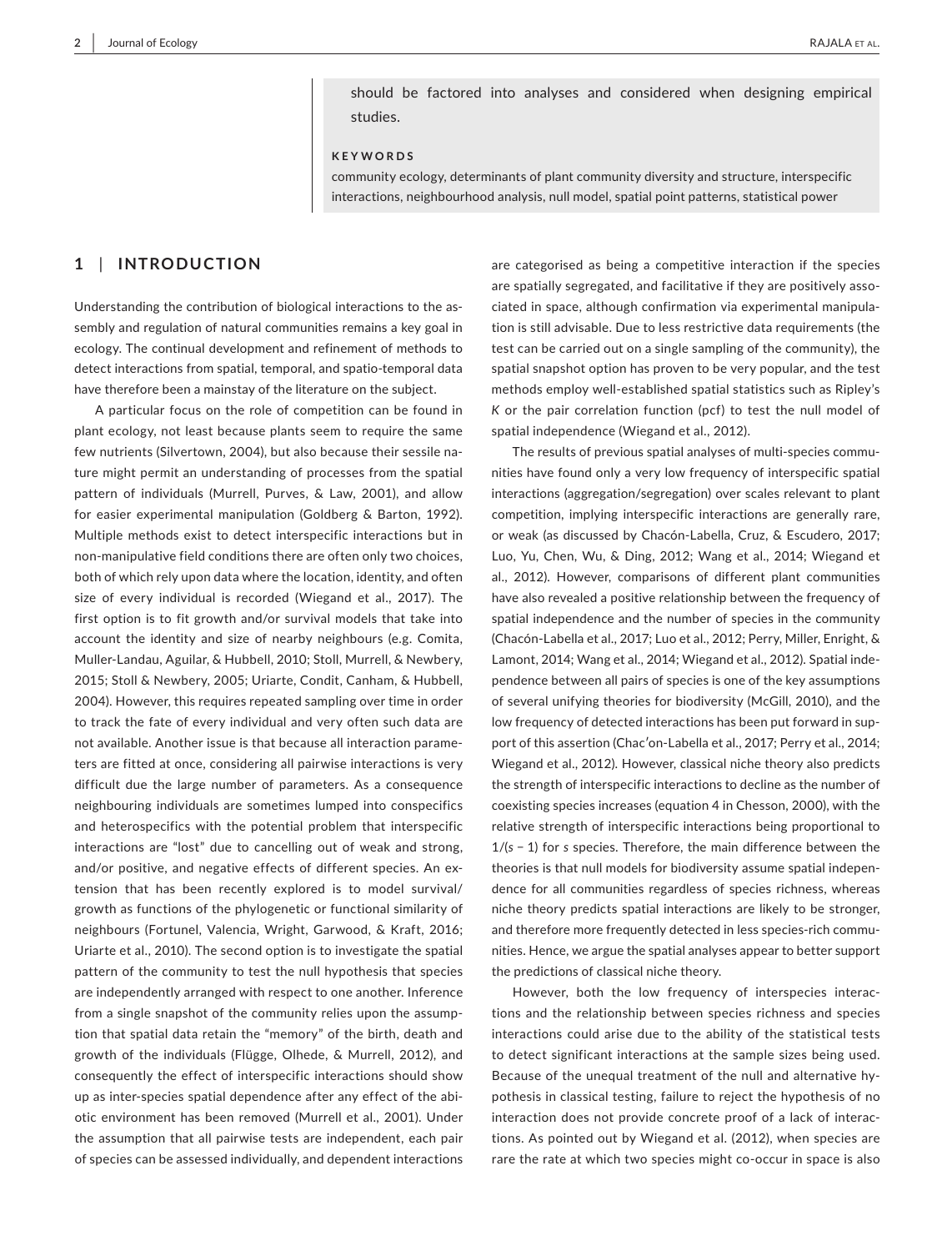should be factored into analyses and considered when designing empirical studies.

#### **KEYWORDS**

community ecology, determinants of plant community diversity and structure, interspecific interactions, neighbourhood analysis, null model, spatial point patterns, statistical power

# **1** | **INTRODUCTION**

Understanding the contribution of biological interactions to the assembly and regulation of natural communities remains a key goal in ecology. The continual development and refinement of methods to detect interactions from spatial, temporal, and spatio‐temporal data have therefore been a mainstay of the literature on the subject.

A particular focus on the role of competition can be found in plant ecology, not least because plants seem to require the same few nutrients (Silvertown, 2004), but also because their sessile nature might permit an understanding of processes from the spatial pattern of individuals (Murrell, Purves, & Law, 2001), and allow for easier experimental manipulation (Goldberg & Barton, 1992). Multiple methods exist to detect interspecific interactions but in non‐manipulative field conditions there are often only two choices, both of which rely upon data where the location, identity, and often size of every individual is recorded (Wiegand et al., 2017). The first option is to fit growth and/or survival models that take into account the identity and size of nearby neighbours (e.g. Comita, Muller‐Landau, Aguilar, & Hubbell, 2010; Stoll, Murrell, & Newbery, 2015; Stoll & Newbery, 2005; Uriarte, Condit, Canham, & Hubbell, 2004). However, this requires repeated sampling over time in order to track the fate of every individual and very often such data are not available. Another issue is that because all interaction parameters are fitted at once, considering all pairwise interactions is very difficult due the large number of parameters. As a consequence neighbouring individuals are sometimes lumped into conspecifics and heterospecifics with the potential problem that interspecific interactions are "lost" due to cancelling out of weak and strong, and/or positive, and negative effects of different species. An extension that has been recently explored is to model survival/ growth as functions of the phylogenetic or functional similarity of neighbours (Fortunel, Valencia, Wright, Garwood, & Kraft, 2016; Uriarte et al., 2010). The second option is to investigate the spatial pattern of the community to test the null hypothesis that species are independently arranged with respect to one another. Inference from a single snapshot of the community relies upon the assumption that spatial data retain the "memory" of the birth, death and growth of the individuals (Flügge, Olhede, & Murrell, 2012), and consequently the effect of interspecific interactions should show up as inter‐species spatial dependence after any effect of the abiotic environment has been removed (Murrell et al., 2001). Under the assumption that all pairwise tests are independent, each pair of species can be assessed individually, and dependent interactions

are categorised as being a competitive interaction if the species are spatially segregated, and facilitative if they are positively associated in space, although confirmation via experimental manipulation is still advisable. Due to less restrictive data requirements (the test can be carried out on a single sampling of the community), the spatial snapshot option has proven to be very popular, and the test methods employ well‐established spatial statistics such as Ripley's *K* or the pair correlation function (pcf) to test the null model of spatial independence (Wiegand et al., 2012).

The results of previous spatial analyses of multi‐species communities have found only a very low frequency of interspecific spatial interactions (aggregation/segregation) over scales relevant to plant competition, implying interspecific interactions are generally rare, or weak (as discussed by Chacón‐Labella, Cruz, & Escudero, 2017; Luo, Yu, Chen, Wu, & Ding, 2012; Wang et al., 2014; Wiegand et al., 2012). However, comparisons of different plant communities have also revealed a positive relationship between the frequency of spatial independence and the number of species in the community (Chacón‐Labella et al., 2017; Luo et al., 2012; Perry, Miller, Enright, & Lamont, 2014; Wang et al., 2014; Wiegand et al., 2012). Spatial independence between all pairs of species is one of the key assumptions of several unifying theories for biodiversity (McGill, 2010), and the low frequency of detected interactions has been put forward in support of this assertion (Chac'on-Labella et al., 2017; Perry et al., 2014; Wiegand et al., 2012). However, classical niche theory also predicts the strength of interspecific interactions to decline as the number of coexisting species increases (equation 4 in Chesson, 2000), with the relative strength of interspecific interactions being proportional to 1/(*s* − 1) for *s* species. Therefore, the main difference between the theories is that null models for biodiversity assume spatial independence for all communities regardless of species richness, whereas niche theory predicts spatial interactions are likely to be stronger, and therefore more frequently detected in less species-rich communities. Hence, we argue the spatial analyses appear to better support the predictions of classical niche theory.

However, both the low frequency of interspecies interactions and the relationship between species richness and species interactions could arise due to the ability of the statistical tests to detect significant interactions at the sample sizes being used. Because of the unequal treatment of the null and alternative hypothesis in classical testing, failure to reject the hypothesis of no interaction does not provide concrete proof of a lack of interactions. As pointed out by Wiegand et al. (2012), when species are rare the rate at which two species might co-occur in space is also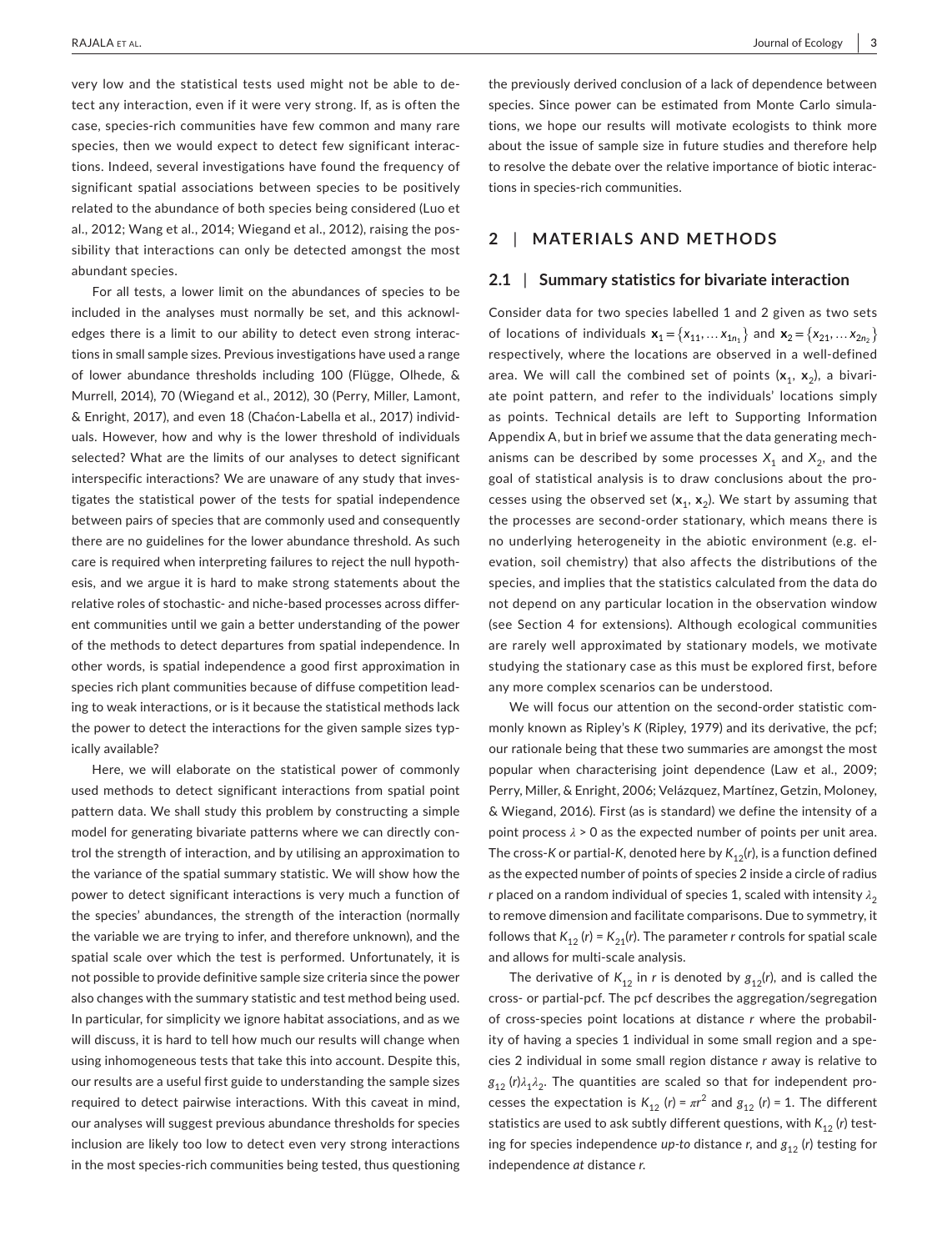very low and the statistical tests used might not be able to detect any interaction, even if it were very strong. If, as is often the case, species‐rich communities have few common and many rare species, then we would expect to detect few significant interactions. Indeed, several investigations have found the frequency of significant spatial associations between species to be positively related to the abundance of both species being considered (Luo et al., 2012; Wang et al., 2014; Wiegand et al., 2012), raising the possibility that interactions can only be detected amongst the most abundant species.

For all tests, a lower limit on the abundances of species to be included in the analyses must normally be set, and this acknowledges there is a limit to our ability to detect even strong interactions in small sample sizes. Previous investigations have used a range of lower abundance thresholds including 100 (Flügge, Olhede, & Murrell, 2014), 70 (Wiegand et al., 2012), 30 (Perry, Miller, Lamont, & Enright, 2017), and even 18 (Chaćon‐Labella et al., 2017) individuals. However, how and why is the lower threshold of individuals selected? What are the limits of our analyses to detect significant interspecific interactions? We are unaware of any study that investigates the statistical power of the tests for spatial independence between pairs of species that are commonly used and consequently there are no guidelines for the lower abundance threshold. As such care is required when interpreting failures to reject the null hypothesis, and we argue it is hard to make strong statements about the relative roles of stochastic‐ and niche‐based processes across different communities until we gain a better understanding of the power of the methods to detect departures from spatial independence. In other words, is spatial independence a good first approximation in species rich plant communities because of diffuse competition leading to weak interactions, or is it because the statistical methods lack the power to detect the interactions for the given sample sizes typically available?

Here, we will elaborate on the statistical power of commonly used methods to detect significant interactions from spatial point pattern data. We shall study this problem by constructing a simple model for generating bivariate patterns where we can directly control the strength of interaction, and by utilising an approximation to the variance of the spatial summary statistic. We will show how the power to detect significant interactions is very much a function of the species' abundances, the strength of the interaction (normally the variable we are trying to infer, and therefore unknown), and the spatial scale over which the test is performed. Unfortunately, it is not possible to provide definitive sample size criteria since the power also changes with the summary statistic and test method being used. In particular, for simplicity we ignore habitat associations, and as we will discuss, it is hard to tell how much our results will change when using inhomogeneous tests that take this into account. Despite this, our results are a useful first guide to understanding the sample sizes required to detect pairwise interactions. With this caveat in mind, our analyses will suggest previous abundance thresholds for species inclusion are likely too low to detect even very strong interactions in the most species‐rich communities being tested, thus questioning

the previously derived conclusion of a lack of dependence between species. Since power can be estimated from Monte Carlo simulations, we hope our results will motivate ecologists to think more about the issue of sample size in future studies and therefore help to resolve the debate over the relative importance of biotic interactions in species‐rich communities.

## **2** | **MATERIALS AND METHODS**

## **2.1** | **Summary statistics for bivariate interaction**

Consider data for two species labelled 1 and 2 given as two sets of locations of individuals  $\mathbf{x}_1 = \{x_{11}, \dots x_{1n_1}\}$  and  $\mathbf{x}_2 = \{x_{21}, \dots x_{2n_2}\}$ respectively, where the locations are observed in a well‐defined area. We will call the combined set of points  $(x_1, x_2)$ , a bivariate point pattern, and refer to the individuals' locations simply as points. Technical details are left to Supporting Information Appendix A, but in brief we assume that the data generating mechanisms can be described by some processes  $X_1$  and  $X_2$ , and the goal of statistical analysis is to draw conclusions about the processes using the observed set  $(x_1, x_2)$ . We start by assuming that the processes are second‐order stationary, which means there is no underlying heterogeneity in the abiotic environment (e.g. elevation, soil chemistry) that also affects the distributions of the species, and implies that the statistics calculated from the data do not depend on any particular location in the observation window (see Section 4 for extensions). Although ecological communities are rarely well approximated by stationary models, we motivate studying the stationary case as this must be explored first, before any more complex scenarios can be understood.

We will focus our attention on the second-order statistic commonly known as Ripley's *K* (Ripley, 1979) and its derivative, the pcf; our rationale being that these two summaries are amongst the most popular when characterising joint dependence (Law et al., 2009; Perry, Miller, & Enright, 2006; Velázquez, Martínez, Getzin, Moloney, & Wiegand, 2016). First (as is standard) we define the intensity of a point process *λ* > 0 as the expected number of points per unit area. The cross-*K* or partial-*K*, denoted here by  $K_{12}(r)$ , is a function defined as the expected number of points of species 2 inside a circle of radius *r* placed on a random individual of species 1, scaled with intensity  $λ_2$ to remove dimension and facilitate comparisons. Due to symmetry, it follows that  $K_{12}$  (*r*) =  $K_{21}(r)$ . The parameter *r* controls for spatial scale and allows for multi‐scale analysis.

The derivative of  $K_{12}$  in *r* is denoted by  $g_{12}(r)$ , and is called the cross- or partial‐pcf. The pcf describes the aggregation/segregation of cross‐species point locations at distance *r* where the probability of having a species 1 individual in some small region and a species 2 individual in some small region distance *r* away is relative to  $g_{12}$  ( $r$ ) $\lambda_1 \lambda_2$ . The quantities are scaled so that for independent processes the expectation is  $K_{12}$  (*r*) =  $\pi r^2$  and  $g_{12}$  (*r*) = 1. The different statistics are used to ask subtly different questions, with  $K_{12}$  (*r*) testing for species independence *up-to* distance *r*, and  $g_{12}$  (*r*) testing for independence *at* distance *r*.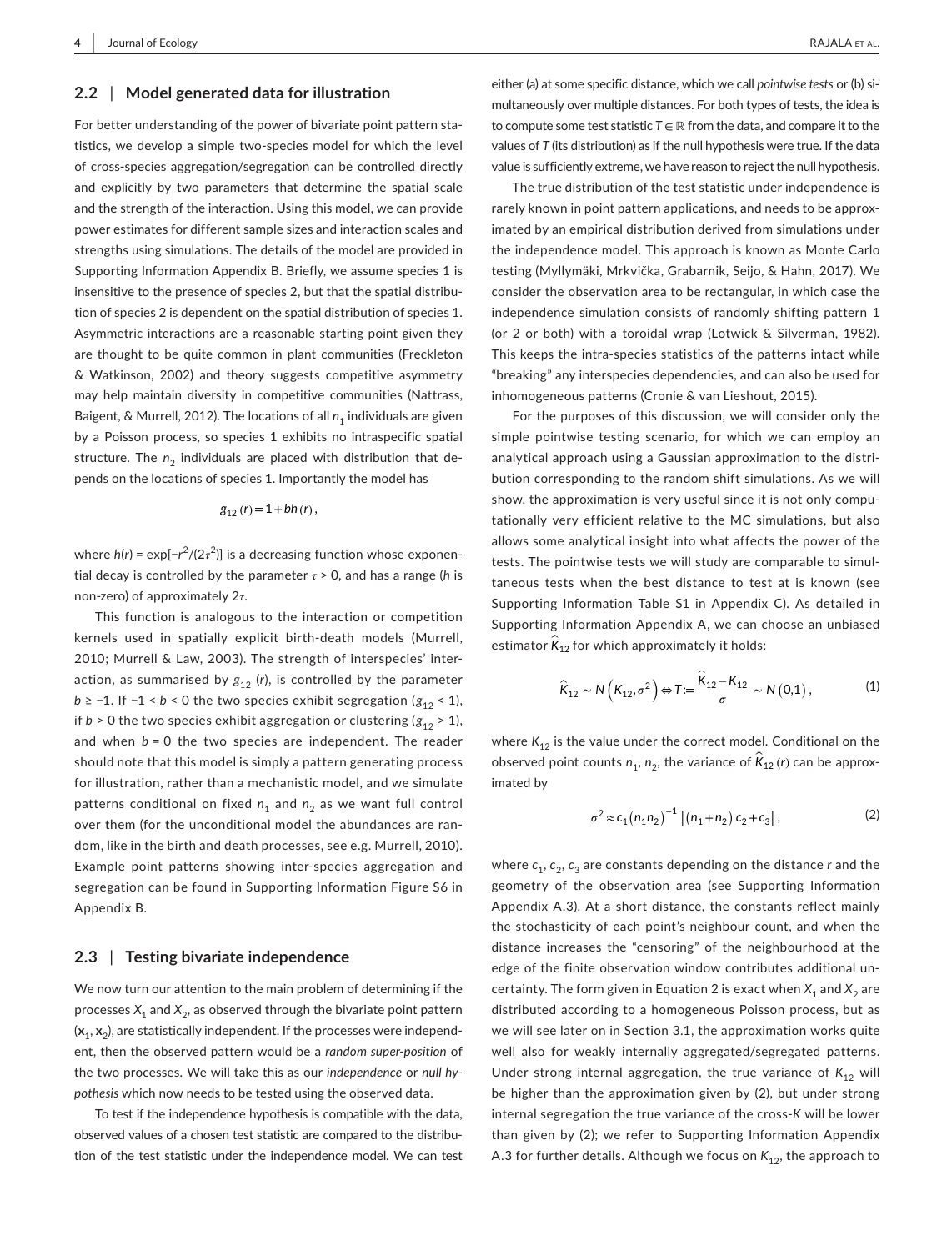## **2.2** | **Model generated data for illustration**

For better understanding of the power of bivariate point pattern statistics, we develop a simple two‐species model for which the level of cross‐species aggregation/segregation can be controlled directly and explicitly by two parameters that determine the spatial scale and the strength of the interaction. Using this model, we can provide power estimates for different sample sizes and interaction scales and strengths using simulations. The details of the model are provided in Supporting Information Appendix B. Briefly, we assume species 1 is insensitive to the presence of species 2, but that the spatial distribution of species 2 is dependent on the spatial distribution of species 1. Asymmetric interactions are a reasonable starting point given they are thought to be quite common in plant communities (Freckleton & Watkinson, 2002) and theory suggests competitive asymmetry may help maintain diversity in competitive communities (Nattrass, Baigent, & Murrell, 2012). The locations of all  $n_1$  individuals are given by a Poisson process, so species 1 exhibits no intraspecific spatial structure. The  $n_2$  individuals are placed with distribution that depends on the locations of species 1. Importantly the model has

## $g_{12} (r) = 1 + bh (r)$ ,

where *h*(*r*) = exp[−*r* 2 /(2*τ* 2 )] is a decreasing function whose exponential decay is controlled by the parameter *τ* > 0, and has a range (*h* is non‐zero) of approximately 2*τ*.

This function is analogous to the interaction or competition kernels used in spatially explicit birth‐death models (Murrell, 2010; Murrell & Law, 2003). The strength of interspecies' interaction, as summarised by  $g_{12}$  (*r*), is controlled by the parameter *b* ≥ −1. If −1 < *b* < 0 the two species exhibit segregation ( $g_{12}$  < 1), if  $b > 0$  the two species exhibit aggregation or clustering ( $g_{12} > 1$ ), and when  $b = 0$  the two species are independent. The reader should note that this model is simply a pattern generating process for illustration, rather than a mechanistic model, and we simulate patterns conditional on fixed  $n_1$  and  $n_2$  as we want full control over them (for the unconditional model the abundances are random, like in the birth and death processes, see e.g. Murrell, 2010). Example point patterns showing inter‐species aggregation and segregation can be found in Supporting Information Figure S6 in Appendix B.

#### **2.3** | **Testing bivariate independence**

We now turn our attention to the main problem of determining if the processes  $X_1$  and  $X_2$ , as observed through the bivariate point pattern  $(x_1, x_2)$ , are statistically independent. If the processes were independent, then the observed pattern would be a *random super‐position* of the two processes. We will take this as our *independence* or *null hy‐ pothesis* which now needs to be tested using the observed data.

To test if the independence hypothesis is compatible with the data, observed values of a chosen test statistic are compared to the distribution of the test statistic under the independence model. We can test either (a) at some specific distance, which we call *pointwise tests* or (b) simultaneously over multiple distances. For both types of tests, the idea is to compute some test statistic  $T \in \mathbb{R}$  from the data, and compare it to the values of *T* (its distribution) as if the null hypothesis were true. If the data value is sufficiently extreme, we have reason to reject the null hypothesis.

The true distribution of the test statistic under independence is rarely known in point pattern applications, and needs to be approximated by an empirical distribution derived from simulations under the independence model. This approach is known as Monte Carlo testing (Myllymäki, Mrkvička, Grabarnik, Seijo, & Hahn, 2017). We consider the observation area to be rectangular, in which case the independence simulation consists of randomly shifting pattern 1 (or 2 or both) with a toroidal wrap (Lotwick & Silverman, 1982). This keeps the intra‐species statistics of the patterns intact while "breaking" any interspecies dependencies, and can also be used for inhomogeneous patterns (Cronie & van Lieshout, 2015).

For the purposes of this discussion, we will consider only the simple pointwise testing scenario, for which we can employ an analytical approach using a Gaussian approximation to the distribution corresponding to the random shift simulations. As we will show, the approximation is very useful since it is not only computationally very efficient relative to the MC simulations, but also allows some analytical insight into what affects the power of the tests. The pointwise tests we will study are comparable to simultaneous tests when the best distance to test at is known (see Supporting Information Table S1 in Appendix C). As detailed in Supporting Information Appendix A, we can choose an unbiased estimator  $\widehat{K}_{12}$  for which approximately it holds:

$$
\widehat{K}_{12} \sim N\left(K_{12}, \sigma^2\right) \Leftrightarrow T := \frac{\widehat{K}_{12} - K_{12}}{\sigma} \sim N\left(0, 1\right),\tag{1}
$$

where  $K_{12}$  is the value under the correct model. Conditional on the observed point counts  $n_1$ ,  $n_2$ , the variance of  $\hat{K}_{12}$  (*r*) can be approximated by

$$
\sigma^2 \approx c_1 (n_1 n_2)^{-1} \left[ (n_1 + n_2) c_2 + c_3 \right],
$$
 (2)

where  $c_1$ ,  $c_2$ ,  $c_3$  are constants depending on the distance *r* and the geometry of the observation area (see Supporting Information Appendix A.3). At a short distance, the constants reflect mainly the stochasticity of each point's neighbour count, and when the distance increases the "censoring" of the neighbourhood at the edge of the finite observation window contributes additional uncertainty. The form given in Equation 2 is exact when  $X_1$  and  $X_2$  are distributed according to a homogeneous Poisson process, but as we will see later on in Section 3.1, the approximation works quite well also for weakly internally aggregated/segregated patterns. Under strong internal aggregation, the true variance of  $K_{12}$  will be higher than the approximation given by (2), but under strong internal segregation the true variance of the cross‐*K* will be lower than given by (2); we refer to Supporting Information Appendix A.3 for further details. Although we focus on  $K_{12}$ , the approach to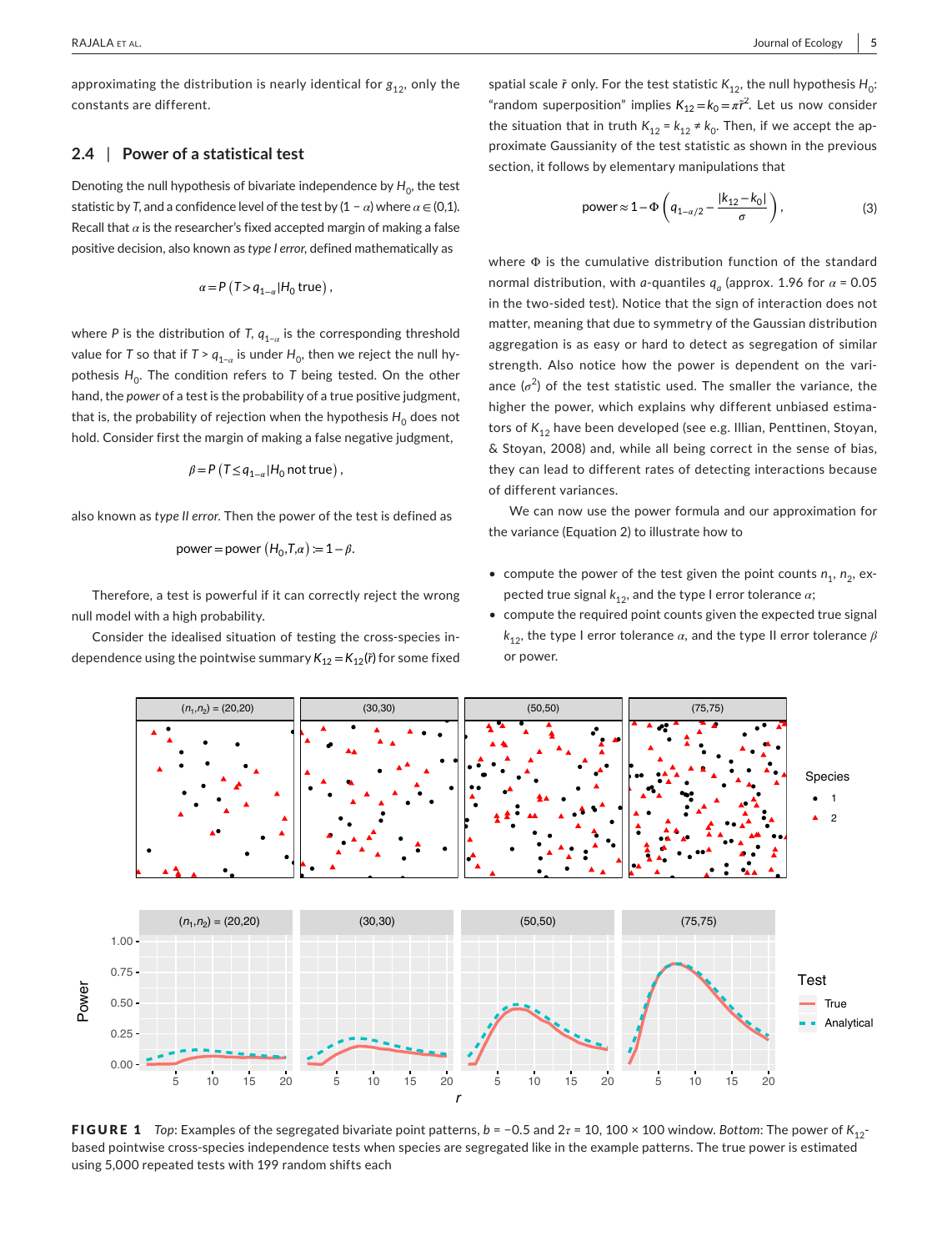approximating the distribution is nearly identical for  $g_{12}$ , only the constants are different.

## **2.4** | **Power of a statistical test**

Denoting the null hypothesis of bivariate independence by  $H_0$ , the test statistic by *T*, and a confidence level of the test by  $(1 - \alpha)$  where  $\alpha \in (0,1)$ . Recall that  $\alpha$  is the researcher's fixed accepted margin of making a false positive decision, also known as *type I error*, defined mathematically as

$$
\alpha = P(T > q_{1-\alpha} | H_0 \text{ true}),
$$

where *P* is the distribution of *T*, *q*1−*<sup>α</sup>* is the corresponding threshold value for *T* so that if *T* >  $q_{1-\alpha}$  is under  $H_0$ , then we reject the null hypothesis  $H_0$ . The condition refers to *T* being tested. On the other hand, the *power* of a test is the probability of a true positive judgment, that is, the probability of rejection when the hypothesis  $H_0$  does not hold. Consider first the margin of making a false negative judgment,

$$
\beta = P(T \leq q_{1-\alpha} | H_0 \text{ not true}),
$$

also known as *type II error*. Then the power of the test is defined as

power = power 
$$
(H_0, T, \alpha) := 1 - \beta
$$
.

Therefore, a test is powerful if it can correctly reject the wrong null model with a high probability.

Consider the idealised situation of testing the cross‐species independence using the pointwise summary  $K_{12} = K_{12}(\tilde{r})$  for some fixed spatial scale  $\tilde{r}$  only. For the test statistic  $K_{12}$ , the null hypothesis  $H_0$ : "random superposition" implies  $K_{12} = k_0 = \pi \tilde{r}^2$ . Let us now consider the situation that in truth  $K_{12} = k_{12} \neq k_0$ . Then, if we accept the approximate Gaussianity of the test statistic as shown in the previous section, it follows by elementary manipulations that

power 
$$
\approx 1 - \Phi\left(q_{1-\alpha/2} - \frac{|k_{12} - k_0|}{\sigma}\right)
$$
, (3)

where Φ is the cumulative distribution function of the standard normal distribution, with *a*-quantiles  $q_a$  (approx. 1.96 for  $\alpha$  = 0.05 in the two‐sided test). Notice that the sign of interaction does not matter, meaning that due to symmetry of the Gaussian distribution aggregation is as easy or hard to detect as segregation of similar strength. Also notice how the power is dependent on the variance  $(\sigma^2)$  of the test statistic used. The smaller the variance, the higher the power, which explains why different unbiased estimators of K<sub>12</sub> have been developed (see e.g. Illian, Penttinen, Stoyan, & Stoyan, 2008) and, while all being correct in the sense of bias, they can lead to different rates of detecting interactions because of different variances.

We can now use the power formula and our approximation for the variance (Equation 2) to illustrate how to

- compute the power of the test given the point counts  $n_1$ ,  $n_2$ , expected true signal  $k_{12}$ , and the type I error tolerance  $\alpha$ ;
- • compute the required point counts given the expected true signal *k*<sub>12</sub>, the type I error tolerance *α*, and the type II error tolerance  $β$ or power.



FIGURE 1 *Top*: Examples of the segregated bivariate point patterns, *b* = −0.5 and 2*τ* = 10, 100 × 100 window. *Bottom*: The power of *K*12 based pointwise cross‐species independence tests when species are segregated like in the example patterns. The true power is estimated using 5,000 repeated tests with 199 random shifts each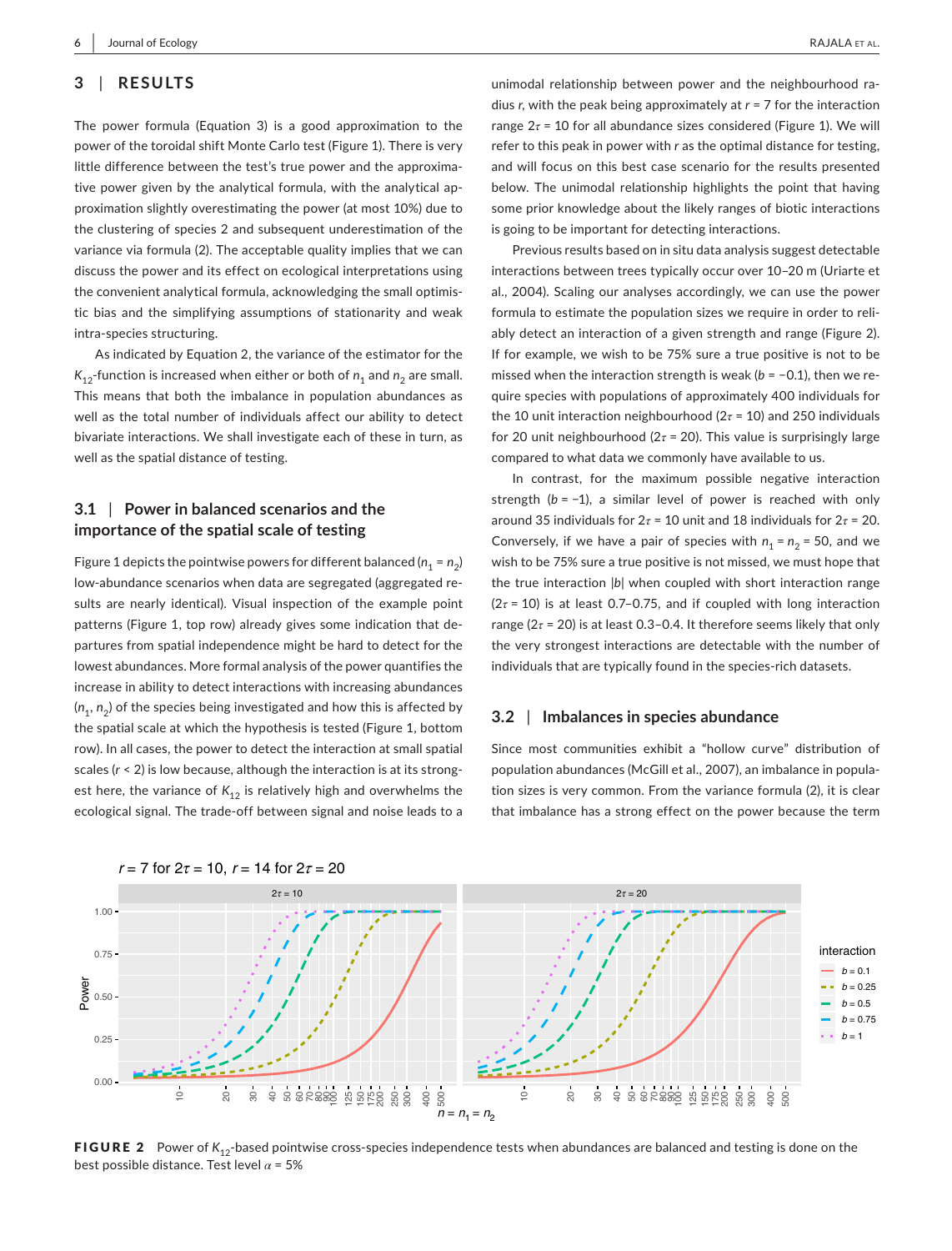# **3** | **RESULTS**

The power formula (Equation 3) is a good approximation to the power of the toroidal shift Monte Carlo test (Figure 1). There is very little difference between the test's true power and the approximative power given by the analytical formula, with the analytical approximation slightly overestimating the power (at most 10%) due to the clustering of species 2 and subsequent underestimation of the variance via formula (2). The acceptable quality implies that we can discuss the power and its effect on ecological interpretations using the convenient analytical formula, acknowledging the small optimistic bias and the simplifying assumptions of stationarity and weak intra‐species structuring.

As indicated by Equation 2, the variance of the estimator for the  $K_{12}$ -function is increased when either or both of  $n_1$  and  $n_2$  are small. This means that both the imbalance in population abundances as well as the total number of individuals affect our ability to detect bivariate interactions. We shall investigate each of these in turn, as well as the spatial distance of testing.

# **3.1** | **Power in balanced scenarios and the importance of the spatial scale of testing**

Figure 1 depicts the pointwise powers for different balanced ( $n_1 = n_2$ ) low‐abundance scenarios when data are segregated (aggregated results are nearly identical). Visual inspection of the example point patterns (Figure 1, top row) already gives some indication that departures from spatial independence might be hard to detect for the lowest abundances. More formal analysis of the power quantifies the increase in ability to detect interactions with increasing abundances  $(n_1, n_2)$  of the species being investigated and how this is affected by the spatial scale at which the hypothesis is tested (Figure 1, bottom row). In all cases, the power to detect the interaction at small spatial scales (*r* < 2) is low because, although the interaction is at its strongest here, the variance of  $K_{12}$  is relatively high and overwhelms the ecological signal. The trade‐off between signal and noise leads to a

unimodal relationship between power and the neighbourhood radius *r*, with the peak being approximately at *r* = 7 for the interaction range 2*τ* = 10 for all abundance sizes considered (Figure 1). We will refer to this peak in power with *r* as the optimal distance for testing, and will focus on this best case scenario for the results presented below. The unimodal relationship highlights the point that having some prior knowledge about the likely ranges of biotic interactions is going to be important for detecting interactions.

Previous results based on in situ data analysis suggest detectable interactions between trees typically occur over 10–20 m (Uriarte et al., 2004). Scaling our analyses accordingly, we can use the power formula to estimate the population sizes we require in order to reliably detect an interaction of a given strength and range (Figure 2). If for example, we wish to be 75% sure a true positive is not to be missed when the interaction strength is weak (*b* = −0.1), then we require species with populations of approximately 400 individuals for the 10 unit interaction neighbourhood (2*τ* = 10) and 250 individuals for 20 unit neighbourhood (2*τ* = 20). This value is surprisingly large compared to what data we commonly have available to us.

In contrast, for the maximum possible negative interaction strength (*b* = −1), a similar level of power is reached with only around 35 individuals for 2*τ* = 10 unit and 18 individuals for 2*τ* = 20. Conversely, if we have a pair of species with  $n_1 = n_2 = 50$ , and we wish to be 75% sure a true positive is not missed, we must hope that the true interaction *|b|* when coupled with short interaction range (2*τ* = 10) is at least 0.7–0.75, and if coupled with long interaction range (2*τ* = 20) is at least 0.3–0.4. It therefore seems likely that only the very strongest interactions are detectable with the number of individuals that are typically found in the species‐rich datasets.

## **3.2** | **Imbalances in species abundance**

Since most communities exhibit a "hollow curve" distribution of population abundances (McGill et al., 2007), an imbalance in population sizes is very common. From the variance formula (2), it is clear that imbalance has a strong effect on the power because the term



FIGURE 2 Power of K<sub>12</sub>-based pointwise cross-species independence tests when abundances are balanced and testing is done on the best possible distance. Test level *α* = 5%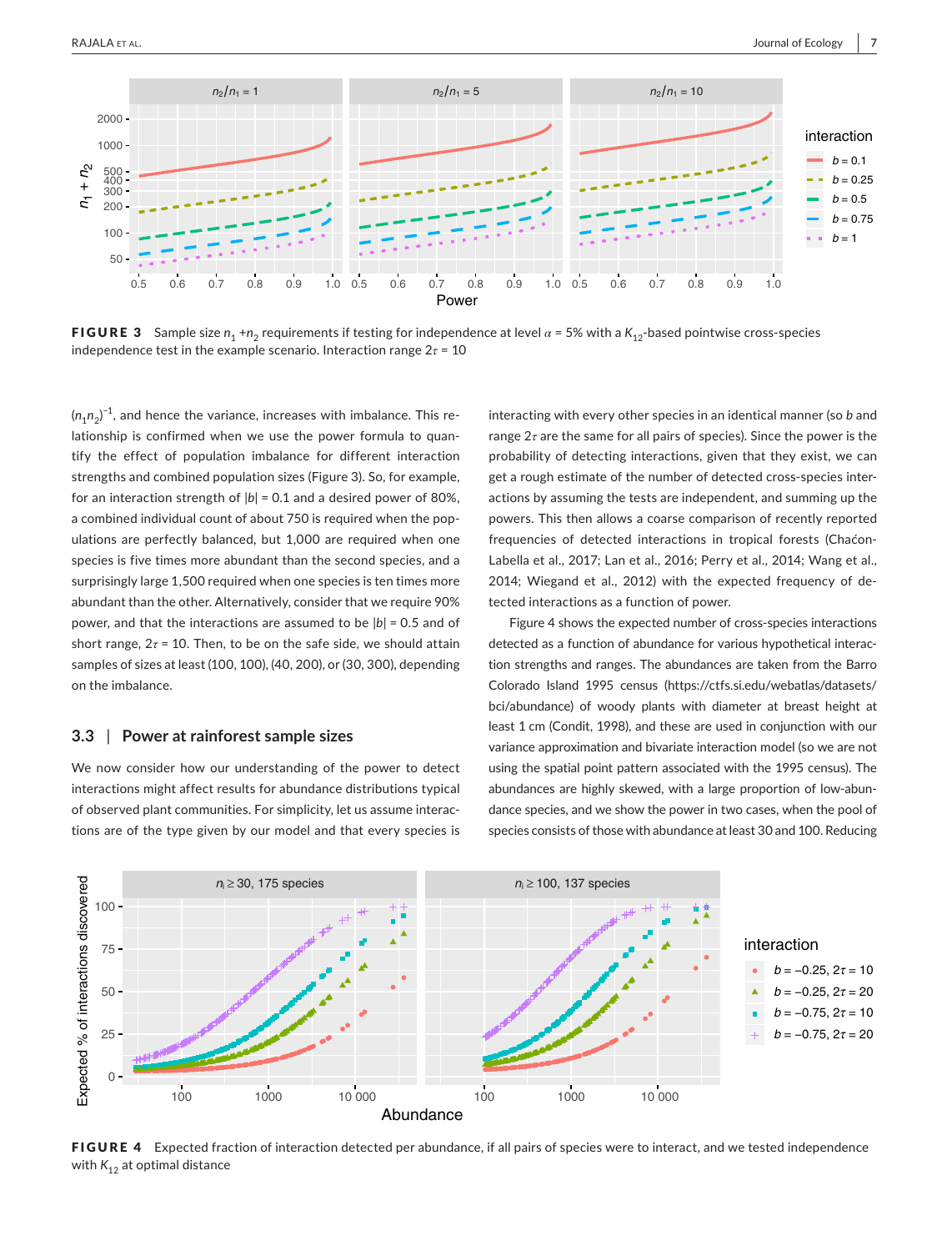

**FIGURE 3** Sample size  $n_1 + n_2$  requirements if testing for independence at level  $\alpha = 5\%$  with a  $K_{12}$ -based pointwise cross-species independence test in the example scenario. Interaction range 2*τ* = 10

 $\left(n_{1}n_{2}\right)^{-1}$ , and hence the variance, increases with imbalance. This relationship is confirmed when we use the power formula to quantify the effect of population imbalance for different interaction strengths and combined population sizes (Figure 3). So, for example, for an interaction strength of  $|b|$  = 0.1 and a desired power of 80%, a combined individual count of about 750 is required when the populations are perfectly balanced, but 1,000 are required when one species is five times more abundant than the second species, and a surprisingly large 1,500 required when one species is ten times more abundant than the other. Alternatively, consider that we require 90% power, and that the interactions are assumed to be |*b*| = 0.5 and of short range,  $2\tau$  = 10. Then, to be on the safe side, we should attain samples of sizes at least (100, 100), (40, 200), or (30, 300), depending on the imbalance.

## **3.3** | **Power at rainforest sample sizes**

We now consider how our understanding of the power to detect interactions might affect results for abundance distributions typical of observed plant communities. For simplicity, let us assume interactions are of the type given by our model and that every species is interacting with every other species in an identical manner (so *b* and range 2*τ* are the same for all pairs of species). Since the power is the probability of detecting interactions, given that they exist, we can get a rough estimate of the number of detected cross‐species interactions by assuming the tests are independent, and summing up the powers. This then allows a coarse comparison of recently reported frequencies of detected interactions in tropical forests (Chaćon-Labella et al., 2017; Lan et al., 2016; Perry et al., 2014; Wang et al., 2014; Wiegand et al., 2012) with the expected frequency of detected interactions as a function of power.

Figure 4 shows the expected number of cross‐species interactions detected as a function of abundance for various hypothetical interaction strengths and ranges. The abundances are taken from the Barro Colorado Island 1995 census ([https://ctfs.si.edu/webatlas/datasets/](https://ctfs.si.edu/webatlas/datasets/bci/abundance) [bci/abundance\)](https://ctfs.si.edu/webatlas/datasets/bci/abundance) of woody plants with diameter at breast height at least 1 cm (Condit, 1998), and these are used in conjunction with our variance approximation and bivariate interaction model (so we are not using the spatial point pattern associated with the 1995 census). The abundances are highly skewed, with a large proportion of low‐abundance species, and we show the power in two cases, when the pool of species consists of those with abundance at least 30 and 100. Reducing



FIGURE 4 Expected fraction of interaction detected per abundance, if all pairs of species were to interact, and we tested independence with  $K_{12}$  at optimal distance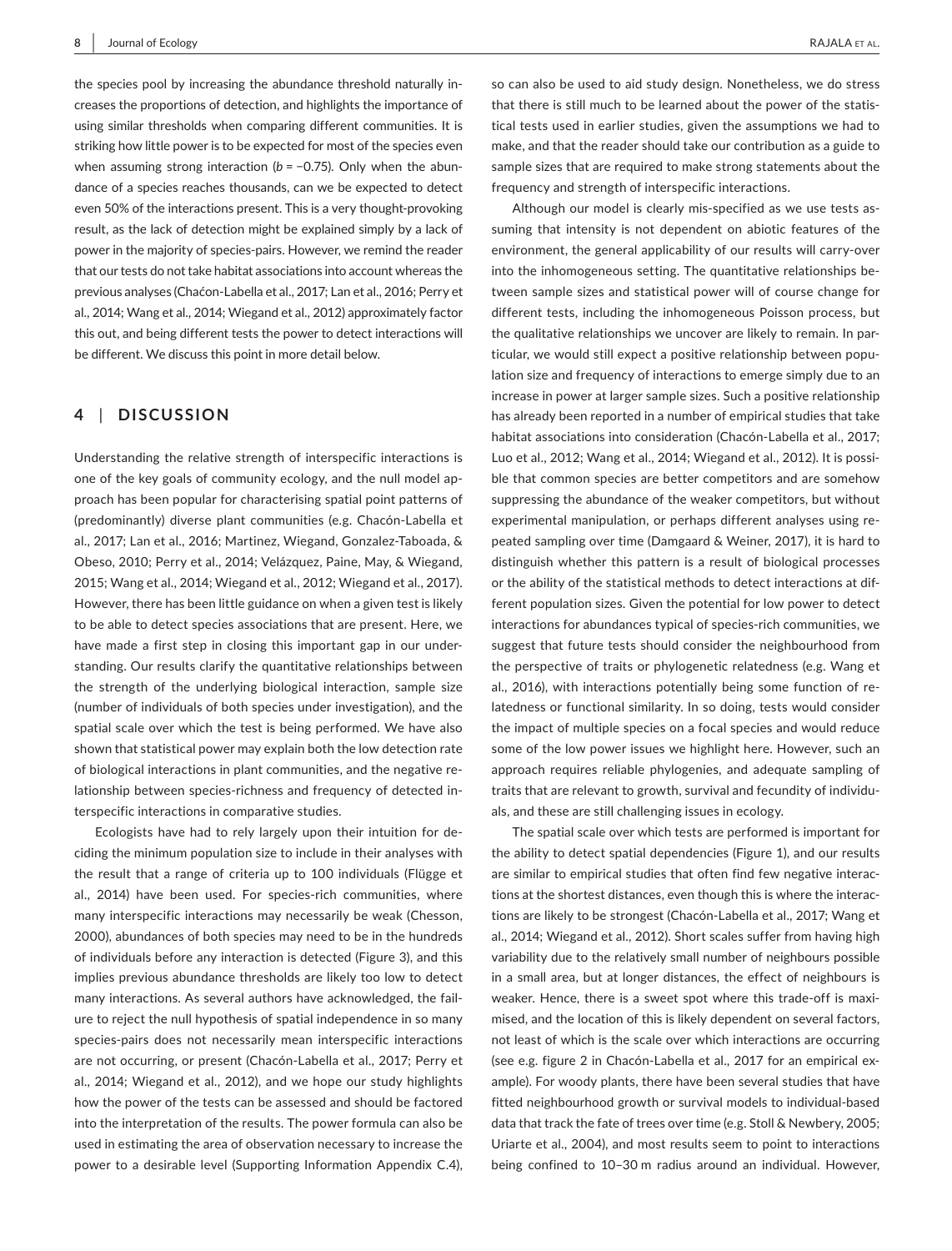the species pool by increasing the abundance threshold naturally increases the proportions of detection, and highlights the importance of using similar thresholds when comparing different communities. It is striking how little power is to be expected for most of the species even when assuming strong interaction (*b* = −0.75). Only when the abundance of a species reaches thousands, can we be expected to detect even 50% of the interactions present. This is a very thought‐provoking result, as the lack of detection might be explained simply by a lack of power in the majority of species‐pairs. However, we remind the reader that our tests do not take habitat associations into account whereas the previous analyses (Chaćon‐Labella et al., 2017; Lan et al., 2016; Perry et al., 2014; Wang et al., 2014; Wiegand et al., 2012) approximately factor this out, and being different tests the power to detect interactions will be different. We discuss this point in more detail below.

## **4** | **DISCUSSION**

Understanding the relative strength of interspecific interactions is one of the key goals of community ecology, and the null model approach has been popular for characterising spatial point patterns of (predominantly) diverse plant communities (e.g. Chacón‐Labella et al., 2017; Lan et al., 2016; Martinez, Wiegand, Gonzalez‐Taboada, & Obeso, 2010; Perry et al., 2014; Velázquez, Paine, May, & Wiegand, 2015; Wang et al., 2014; Wiegand et al., 2012; Wiegand et al., 2017). However, there has been little guidance on when a given test is likely to be able to detect species associations that are present. Here, we have made a first step in closing this important gap in our understanding. Our results clarify the quantitative relationships between the strength of the underlying biological interaction, sample size (number of individuals of both species under investigation), and the spatial scale over which the test is being performed. We have also shown that statistical power may explain both the low detection rate of biological interactions in plant communities, and the negative relationship between species-richness and frequency of detected interspecific interactions in comparative studies.

Ecologists have had to rely largely upon their intuition for deciding the minimum population size to include in their analyses with the result that a range of criteria up to 100 individuals (Flügge et al., 2014) have been used. For species-rich communities, where many interspecific interactions may necessarily be weak (Chesson, 2000), abundances of both species may need to be in the hundreds of individuals before any interaction is detected (Figure 3), and this implies previous abundance thresholds are likely too low to detect many interactions. As several authors have acknowledged, the failure to reject the null hypothesis of spatial independence in so many species‐pairs does not necessarily mean interspecific interactions are not occurring, or present (Chacón‐Labella et al., 2017; Perry et al., 2014; Wiegand et al., 2012), and we hope our study highlights how the power of the tests can be assessed and should be factored into the interpretation of the results. The power formula can also be used in estimating the area of observation necessary to increase the power to a desirable level (Supporting Information Appendix C.4),

so can also be used to aid study design. Nonetheless, we do stress that there is still much to be learned about the power of the statistical tests used in earlier studies, given the assumptions we had to make, and that the reader should take our contribution as a guide to sample sizes that are required to make strong statements about the frequency and strength of interspecific interactions.

Although our model is clearly mis-specified as we use tests assuming that intensity is not dependent on abiotic features of the environment, the general applicability of our results will carry‐over into the inhomogeneous setting. The quantitative relationships between sample sizes and statistical power will of course change for different tests, including the inhomogeneous Poisson process, but the qualitative relationships we uncover are likely to remain. In particular, we would still expect a positive relationship between population size and frequency of interactions to emerge simply due to an increase in power at larger sample sizes. Such a positive relationship has already been reported in a number of empirical studies that take habitat associations into consideration (Chacón‐Labella et al., 2017; Luo et al., 2012; Wang et al., 2014; Wiegand et al., 2012). It is possible that common species are better competitors and are somehow suppressing the abundance of the weaker competitors, but without experimental manipulation, or perhaps different analyses using repeated sampling over time (Damgaard & Weiner, 2017), it is hard to distinguish whether this pattern is a result of biological processes or the ability of the statistical methods to detect interactions at different population sizes. Given the potential for low power to detect interactions for abundances typical of species‐rich communities, we suggest that future tests should consider the neighbourhood from the perspective of traits or phylogenetic relatedness (e.g. Wang et al., 2016), with interactions potentially being some function of relatedness or functional similarity. In so doing, tests would consider the impact of multiple species on a focal species and would reduce some of the low power issues we highlight here. However, such an approach requires reliable phylogenies, and adequate sampling of traits that are relevant to growth, survival and fecundity of individuals, and these are still challenging issues in ecology.

The spatial scale over which tests are performed is important for the ability to detect spatial dependencies (Figure 1), and our results are similar to empirical studies that often find few negative interactions at the shortest distances, even though this is where the interactions are likely to be strongest (Chacón‐Labella et al., 2017; Wang et al., 2014; Wiegand et al., 2012). Short scales suffer from having high variability due to the relatively small number of neighbours possible in a small area, but at longer distances, the effect of neighbours is weaker. Hence, there is a sweet spot where this trade‐off is maximised, and the location of this is likely dependent on several factors, not least of which is the scale over which interactions are occurring (see e.g. figure 2 in Chacón‐Labella et al., 2017 for an empirical example). For woody plants, there have been several studies that have fitted neighbourhood growth or survival models to individual‐based data that track the fate of trees over time (e.g. Stoll & Newbery, 2005; Uriarte et al., 2004), and most results seem to point to interactions being confined to 10–30 m radius around an individual. However,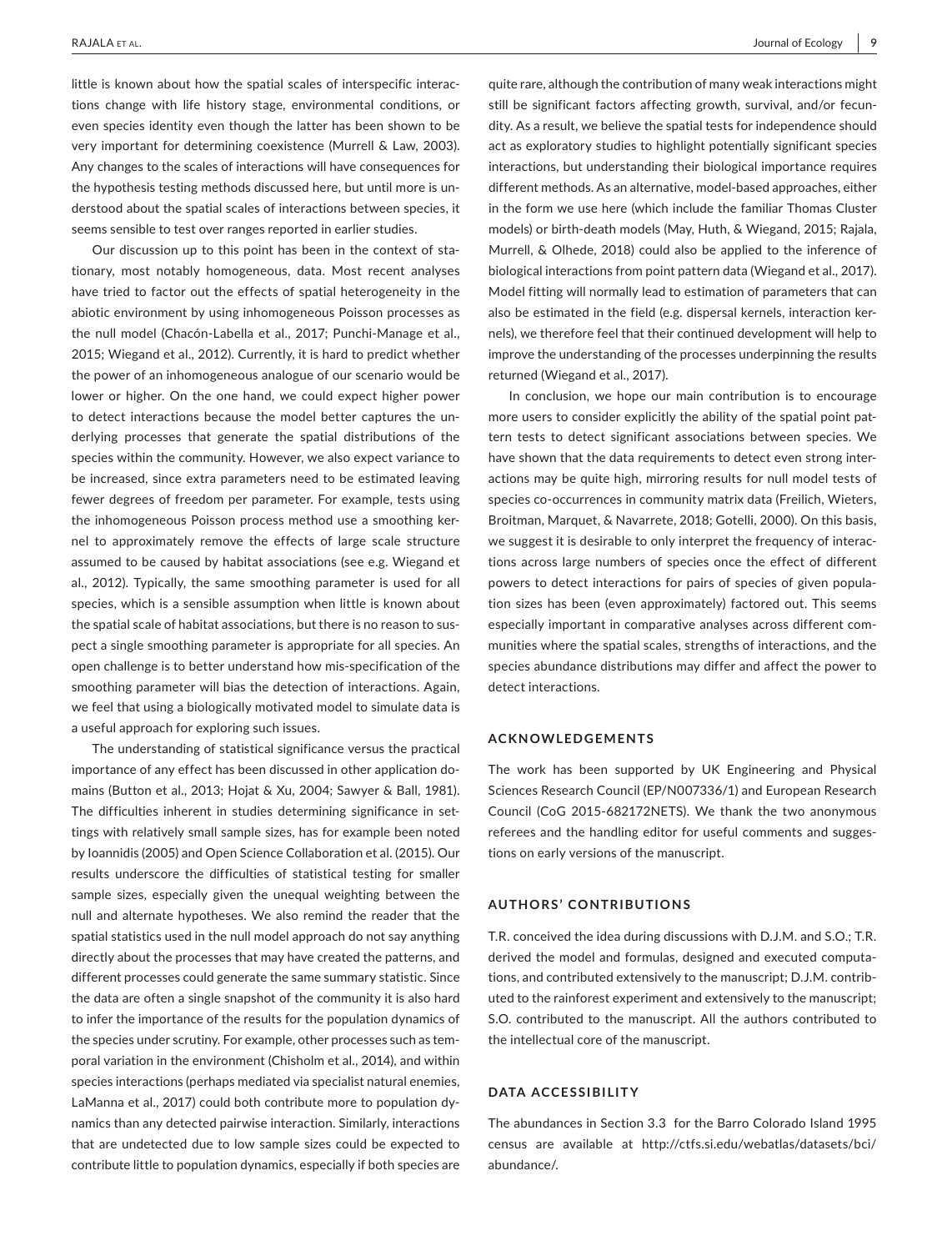little is known about how the spatial scales of interspecific interactions change with life history stage, environmental conditions, or even species identity even though the latter has been shown to be very important for determining coexistence (Murrell & Law, 2003). Any changes to the scales of interactions will have consequences for the hypothesis testing methods discussed here, but until more is understood about the spatial scales of interactions between species, it seems sensible to test over ranges reported in earlier studies.

Our discussion up to this point has been in the context of stationary, most notably homogeneous, data. Most recent analyses have tried to factor out the effects of spatial heterogeneity in the abiotic environment by using inhomogeneous Poisson processes as the null model (Chacón‐Labella et al., 2017; Punchi‐Manage et al., 2015; Wiegand et al., 2012). Currently, it is hard to predict whether the power of an inhomogeneous analogue of our scenario would be lower or higher. On the one hand, we could expect higher power to detect interactions because the model better captures the underlying processes that generate the spatial distributions of the species within the community. However, we also expect variance to be increased, since extra parameters need to be estimated leaving fewer degrees of freedom per parameter. For example, tests using the inhomogeneous Poisson process method use a smoothing kernel to approximately remove the effects of large scale structure assumed to be caused by habitat associations (see e.g. Wiegand et al., 2012). Typically, the same smoothing parameter is used for all species, which is a sensible assumption when little is known about the spatial scale of habitat associations, but there is no reason to suspect a single smoothing parameter is appropriate for all species. An open challenge is to better understand how mis‐specification of the smoothing parameter will bias the detection of interactions. Again, we feel that using a biologically motivated model to simulate data is a useful approach for exploring such issues.

The understanding of statistical significance versus the practical importance of any effect has been discussed in other application domains (Button et al., 2013; Hojat & Xu, 2004; Sawyer & Ball, 1981). The difficulties inherent in studies determining significance in settings with relatively small sample sizes, has for example been noted by Ioannidis (2005) and Open Science Collaboration et al. (2015). Our results underscore the difficulties of statistical testing for smaller sample sizes, especially given the unequal weighting between the null and alternate hypotheses. We also remind the reader that the spatial statistics used in the null model approach do not say anything directly about the processes that may have created the patterns, and different processes could generate the same summary statistic. Since the data are often a single snapshot of the community it is also hard to infer the importance of the results for the population dynamics of the species under scrutiny. For example, other processes such as temporal variation in the environment (Chisholm et al., 2014), and within species interactions (perhaps mediated via specialist natural enemies, LaManna et al., 2017) could both contribute more to population dynamics than any detected pairwise interaction. Similarly, interactions that are undetected due to low sample sizes could be expected to contribute little to population dynamics, especially if both species are

quite rare, although the contribution of many weak interactions might still be significant factors affecting growth, survival, and/or fecundity. As a result, we believe the spatial tests for independence should act as exploratory studies to highlight potentially significant species interactions, but understanding their biological importance requires different methods. As an alternative, model‐based approaches, either in the form we use here (which include the familiar Thomas Cluster models) or birth‐death models (May, Huth, & Wiegand, 2015; Rajala, Murrell, & Olhede, 2018) could also be applied to the inference of biological interactions from point pattern data (Wiegand et al., 2017). Model fitting will normally lead to estimation of parameters that can also be estimated in the field (e.g. dispersal kernels, interaction kernels), we therefore feel that their continued development will help to improve the understanding of the processes underpinning the results returned (Wiegand et al., 2017).

In conclusion, we hope our main contribution is to encourage more users to consider explicitly the ability of the spatial point pattern tests to detect significant associations between species. We have shown that the data requirements to detect even strong interactions may be quite high, mirroring results for null model tests of species co-occurrences in community matrix data (Freilich, Wieters, Broitman, Marquet, & Navarrete, 2018; Gotelli, 2000). On this basis, we suggest it is desirable to only interpret the frequency of interactions across large numbers of species once the effect of different powers to detect interactions for pairs of species of given population sizes has been (even approximately) factored out. This seems especially important in comparative analyses across different communities where the spatial scales, strengths of interactions, and the species abundance distributions may differ and affect the power to detect interactions.

## **ACKNOWLEDGEMENTS**

The work has been supported by UK Engineering and Physical Sciences Research Council (EP/N007336/1) and European Research Council (CoG 2015‐682172NETS). We thank the two anonymous referees and the handling editor for useful comments and suggestions on early versions of the manuscript.

## **AUTHORS' CONTRIBUTIONS**

T.R. conceived the idea during discussions with D.J.M. and S.O.; T.R. derived the model and formulas, designed and executed computations, and contributed extensively to the manuscript; D.J.M. contributed to the rainforest experiment and extensively to the manuscript; S.O. contributed to the manuscript. All the authors contributed to the intellectual core of the manuscript.

#### **DATA ACCESSIBILITY**

The abundances in Section 3.3 for the Barro Colorado Island 1995 census are available at [http://ctfs.si.edu/webatlas/datasets/bci/](https://ctfs.si.edu/webatlas/datasets/bci/abundance) [abundance/.](https://ctfs.si.edu/webatlas/datasets/bci/abundance)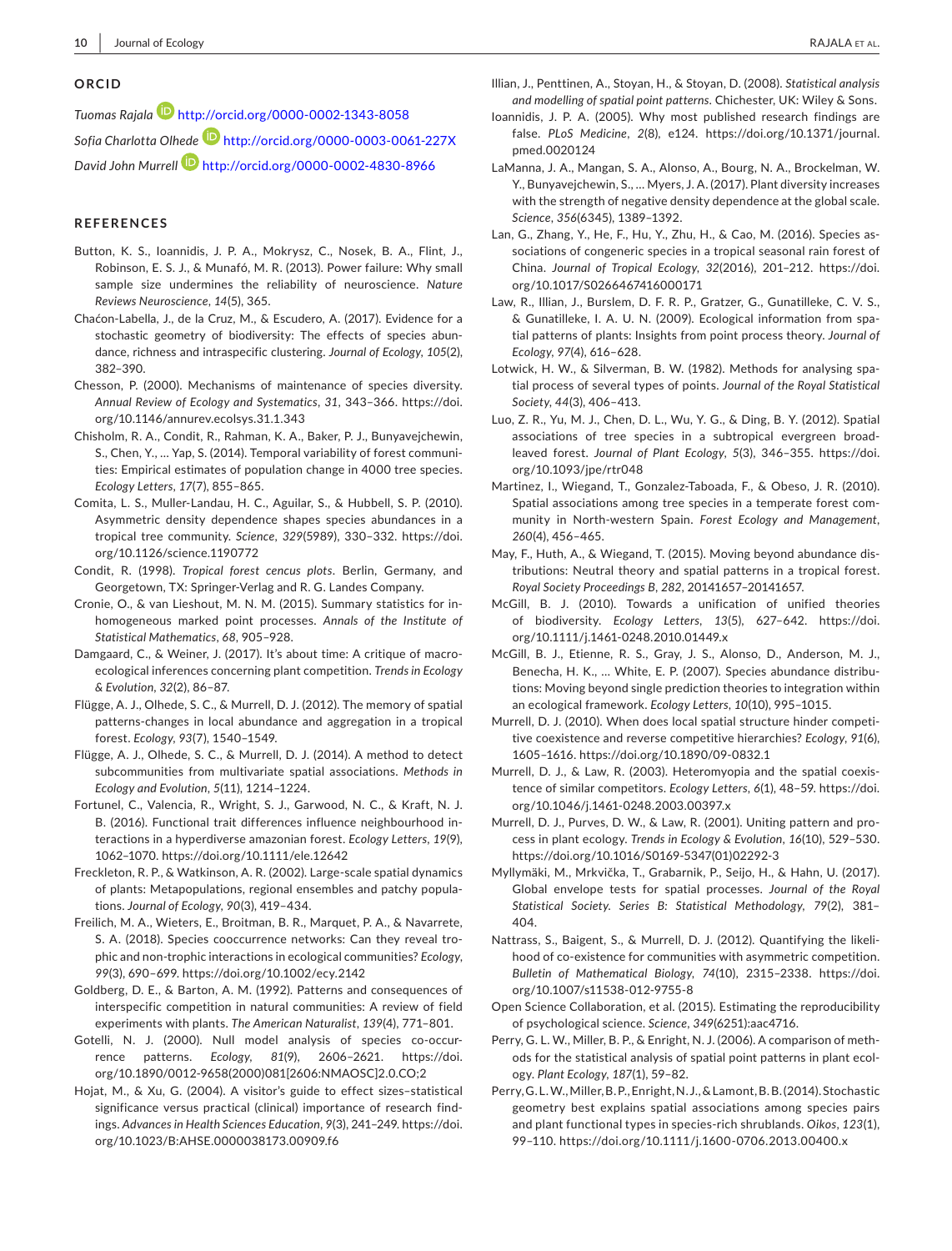#### **ORCID**

*Tuomas Rajala* <http://orcid.org/0000-0002-1343-8058> *Sofia Charlotta Olhed[e](http://orcid.org/0000-0003-0061-227X)* <http://orcid.org/0000-0003-0061-227X> *David John Murrell* <http://orcid.org/0000-0002-4830-8966>

#### **REFERENCES**

- Button, K. S., Ioannidis, J. P. A., Mokrysz, C., Nosek, B. A., Flint, J., Robinson, E. S. J., & Munafó, M. R. (2013). Power failure: Why small sample size undermines the reliability of neuroscience. *Nature Reviews Neuroscience*, *14*(5), 365.
- Chaćon‐Labella, J., de la Cruz, M., & Escudero, A. (2017). Evidence for a stochastic geometry of biodiversity: The effects of species abundance, richness and intraspecific clustering. *Journal of Ecology*, *105*(2), 382–390.
- Chesson, P. (2000). Mechanisms of maintenance of species diversity. *Annual Review of Ecology and Systematics*, *31*, 343–366. [https://doi.](https://doi.org/10.1146/annurev.ecolsys.31.1.343) [org/10.1146/annurev.ecolsys.31.1.343](https://doi.org/10.1146/annurev.ecolsys.31.1.343)
- Chisholm, R. A., Condit, R., Rahman, K. A., Baker, P. J., Bunyavejchewin, S., Chen, Y., … Yap, S. (2014). Temporal variability of forest communities: Empirical estimates of population change in 4000 tree species. *Ecology Letters*, *17*(7), 855–865.
- Comita, L. S., Muller‐Landau, H. C., Aguilar, S., & Hubbell, S. P. (2010). Asymmetric density dependence shapes species abundances in a tropical tree community. *Science*, *329*(5989), 330–332. [https://doi.](https://doi.org/10.1126/science.1190772) [org/10.1126/science.1190772](https://doi.org/10.1126/science.1190772)
- Condit, R. (1998). *Tropical forest cencus plots*. Berlin, Germany, and Georgetown, TX: Springer‐Verlag and R. G. Landes Company.
- Cronie, O., & van Lieshout, M. N. M. (2015). Summary statistics for inhomogeneous marked point processes. *Annals of the Institute of Statistical Mathematics*, *68*, 905–928.
- Damgaard, C., & Weiner, J. (2017). It's about time: A critique of macroecological inferences concerning plant competition. *Trends in Ecology & Evolution*, *32*(2), 86–87.
- Flügge, A. J., Olhede, S. C., & Murrell, D. J. (2012). The memory of spatial patterns‐changes in local abundance and aggregation in a tropical forest. *Ecology*, *93*(7), 1540–1549.
- Flügge, A. J., Olhede, S. C., & Murrell, D. J. (2014). A method to detect subcommunities from multivariate spatial associations. *Methods in Ecology and Evolution*, *5*(11), 1214–1224.
- Fortunel, C., Valencia, R., Wright, S. J., Garwood, N. C., & Kraft, N. J. B. (2016). Functional trait differences influence neighbourhood interactions in a hyperdiverse amazonian forest. *Ecology Letters*, *19*(9), 1062–1070. <https://doi.org/10.1111/ele.12642>
- Freckleton, R. P., & Watkinson, A. R. (2002). Large‐scale spatial dynamics of plants: Metapopulations, regional ensembles and patchy populations. *Journal of Ecology*, *90*(3), 419–434.
- Freilich, M. A., Wieters, E., Broitman, B. R., Marquet, P. A., & Navarrete, S. A. (2018). Species cooccurrence networks: Can they reveal trophic and non‐trophic interactions in ecological communities? *Ecology*, *99*(3), 690–699. <https://doi.org/10.1002/ecy.2142>
- Goldberg, D. E., & Barton, A. M. (1992). Patterns and consequences of interspecific competition in natural communities: A review of field experiments with plants. *The American Naturalist*, *139*(4), 771–801.
- Gotelli, N. J. (2000). Null model analysis of species co‐occurrence patterns. *Ecology*, *81*(9), 2606–2621. [https://doi.](https://doi.org/10.1890/0012-9658(2000)081[2606:NMAOSC]2.0.CO;2) [org/10.1890/0012-9658\(2000\)081\[2606:NMAOSC\]2.0.CO;2](https://doi.org/10.1890/0012-9658(2000)081[2606:NMAOSC]2.0.CO;2)
- Hojat, M., & Xu, G. (2004). A visitor's guide to effect sizes–statistical significance versus practical (clinical) importance of research findings. *Advances in Health Sciences Education*, *9*(3), 241–249. [https://doi.](https://doi.org/10.1023/B:AHSE.0000038173.00909.f6) [org/10.1023/B:AHSE.0000038173.00909.f6](https://doi.org/10.1023/B:AHSE.0000038173.00909.f6)
- Illian, J., Penttinen, A., Stoyan, H., & Stoyan, D. (2008). *Statistical analysis and modelling of spatial point patterns*. Chichester, UK: Wiley & Sons.
- Ioannidis, J. P. A. (2005). Why most published research findings are false. *PLoS Medicine*, *2*(8), e124. [https://doi.org/10.1371/journal.](https://doi.org/10.1371/journal.pmed.0020124) [pmed.0020124](https://doi.org/10.1371/journal.pmed.0020124)
- LaManna, J. A., Mangan, S. A., Alonso, A., Bourg, N. A., Brockelman, W. Y., Bunyavejchewin, S., … Myers, J. A. (2017). Plant diversity increases with the strength of negative density dependence at the global scale. *Science*, *356*(6345), 1389–1392.
- Lan, G., Zhang, Y., He, F., Hu, Y., Zhu, H., & Cao, M. (2016). Species associations of congeneric species in a tropical seasonal rain forest of China. *Journal of Tropical Ecology*, *32*(2016), 201–212. [https://doi.](https://doi.org/10.1017/S0266467416000171) [org/10.1017/S0266467416000171](https://doi.org/10.1017/S0266467416000171)
- Law, R., Illian, J., Burslem, D. F. R. P., Gratzer, G., Gunatilleke, C. V. S., & Gunatilleke, I. A. U. N. (2009). Ecological information from spatial patterns of plants: Insights from point process theory. *Journal of Ecology*, *97*(4), 616–628.
- Lotwick, H. W., & Silverman, B. W. (1982). Methods for analysing spatial process of several types of points. *Journal of the Royal Statistical Society*, *44*(3), 406–413.
- Luo, Z. R., Yu, M. J., Chen, D. L., Wu, Y. G., & Ding, B. Y. (2012). Spatial associations of tree species in a subtropical evergreen broad‐ leaved forest. *Journal of Plant Ecology*, *5*(3), 346–355. [https://doi.](https://doi.org/10.1093/jpe/rtr048) [org/10.1093/jpe/rtr048](https://doi.org/10.1093/jpe/rtr048)
- Martinez, I., Wiegand, T., Gonzalez‐Taboada, F., & Obeso, J. R. (2010). Spatial associations among tree species in a temperate forest community in North‐western Spain. *Forest Ecology and Management*, *260*(4), 456–465.
- May, F., Huth, A., & Wiegand, T. (2015). Moving beyond abundance distributions: Neutral theory and spatial patterns in a tropical forest. *Royal Society Proceedings B*, *282*, 20141657–20141657.
- McGill, B. J. (2010). Towards a unification of unified theories of biodiversity. *Ecology Letters*, *13*(5), 627–642. [https://doi.](https://doi.org/10.1111/j.1461-0248.2010.01449.x) [org/10.1111/j.1461-0248.2010.01449.x](https://doi.org/10.1111/j.1461-0248.2010.01449.x)
- McGill, B. J., Etienne, R. S., Gray, J. S., Alonso, D., Anderson, M. J., Benecha, H. K., … White, E. P. (2007). Species abundance distributions: Moving beyond single prediction theories to integration within an ecological framework. *Ecology Letters*, *10*(10), 995–1015.
- Murrell, D. J. (2010). When does local spatial structure hinder competitive coexistence and reverse competitive hierarchies? *Ecology*, *91*(6), 1605–1616. <https://doi.org/10.1890/09-0832.1>
- Murrell, D. J., & Law, R. (2003). Heteromyopia and the spatial coexistence of similar competitors. *Ecology Letters*, *6*(1), 48–59. [https://doi.](https://doi.org/10.1046/j.1461-0248.2003.00397.x) [org/10.1046/j.1461-0248.2003.00397.x](https://doi.org/10.1046/j.1461-0248.2003.00397.x)
- Murrell, D. J., Purves, D. W., & Law, R. (2001). Uniting pattern and process in plant ecology. *Trends in Ecology & Evolution*, *16*(10), 529–530. [https://doi.org/10.1016/S0169-5347\(01\)02292-3](https://doi.org/10.1016/S0169-5347(01)02292-3)
- Myllymäki, M., Mrkvička, T., Grabarnik, P., Seijo, H., & Hahn, U. (2017). Global envelope tests for spatial processes. *Journal of the Royal Statistical Society. Series B: Statistical Methodology*, *79*(2), 381– 404.
- Nattrass, S., Baigent, S., & Murrell, D. J. (2012). Quantifying the likelihood of co-existence for communities with asymmetric competition. *Bulletin of Mathematical Biology*, *74*(10), 2315–2338. [https://doi.](https://doi.org/10.1007/s11538-012-9755-8) [org/10.1007/s11538-012-9755-8](https://doi.org/10.1007/s11538-012-9755-8)
- Open Science Collaboration, et al. (2015). Estimating the reproducibility of psychological science. *Science*, *349*(6251):aac4716.
- Perry, G. L. W., Miller, B. P., & Enright, N. J. (2006). A comparison of methods for the statistical analysis of spatial point patterns in plant ecology. *Plant Ecology*, *187*(1), 59–82.
- Perry, G.L.W., Miller, B.P., Enright, N.J., & Lamont, B.B. (2014). Stochastic geometry best explains spatial associations among species pairs and plant functional types in species‐rich shrublands. *Oikos*, *123*(1), 99–110. <https://doi.org/10.1111/j.1600-0706.2013.00400.x>